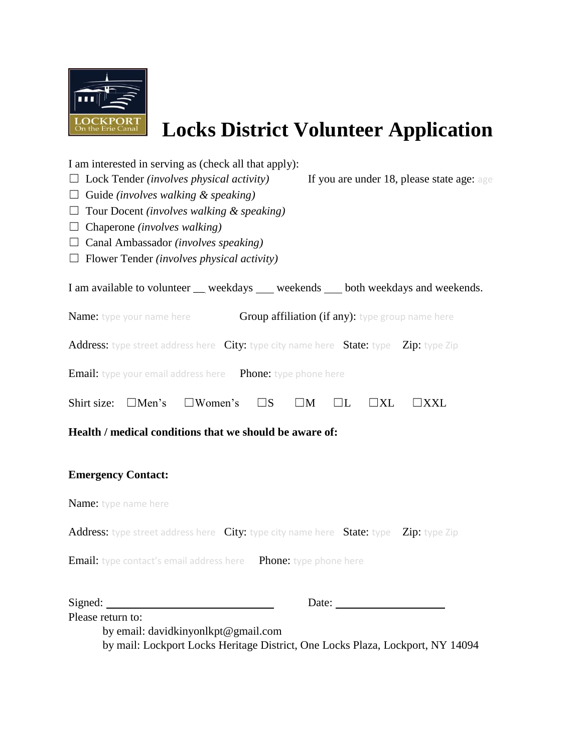

## **Locks District Volunteer Application**

| I am interested in serving as (check all that apply):<br>$\Box$ Lock Tender (involves physical activity)<br>If you are under 18, please state age: age<br>$\Box$ Guide (involves walking & speaking)<br>$\Box$ Tour Docent (involves walking & speaking)<br>$\Box$ Chaperone (involves walking)<br>$\Box$ Canal Ambassador ( <i>involves speaking</i> )<br>$\Box$ Flower Tender (involves physical activity) |
|--------------------------------------------------------------------------------------------------------------------------------------------------------------------------------------------------------------------------------------------------------------------------------------------------------------------------------------------------------------------------------------------------------------|
| I am available to volunteer _ weekdays _ weekends _ both weekdays and weekends.                                                                                                                                                                                                                                                                                                                              |
| <b>Name:</b> type your name here<br>Group affiliation (if any): type group name here                                                                                                                                                                                                                                                                                                                         |
| Address: type street address here City: type city name here State: type Zip: type Zip                                                                                                                                                                                                                                                                                                                        |
| <b>Email:</b> type your email address here Phone: type phone here                                                                                                                                                                                                                                                                                                                                            |
| $\square$ Women's<br>Shirt size: $\Box$ Men's<br>$\Box L$<br>$\square$ s<br>$\square M$<br>$\Box$ XL<br>$\Box$ XXL                                                                                                                                                                                                                                                                                           |
| Health / medical conditions that we should be aware of:                                                                                                                                                                                                                                                                                                                                                      |
| <b>Emergency Contact:</b>                                                                                                                                                                                                                                                                                                                                                                                    |
| Name: type name here                                                                                                                                                                                                                                                                                                                                                                                         |
| Address: type street address here City: type city name here State: type Zip: type Zip                                                                                                                                                                                                                                                                                                                        |
| <b>Email:</b> type contact's email address here <b>Phone:</b> type phone here                                                                                                                                                                                                                                                                                                                                |
| Signed:<br>Date:                                                                                                                                                                                                                                                                                                                                                                                             |
| Please return to:                                                                                                                                                                                                                                                                                                                                                                                            |

by email: davidkinyonlkpt@gmail.com by mail: Lockport Locks Heritage District, One Locks Plaza, Lockport, NY 14094